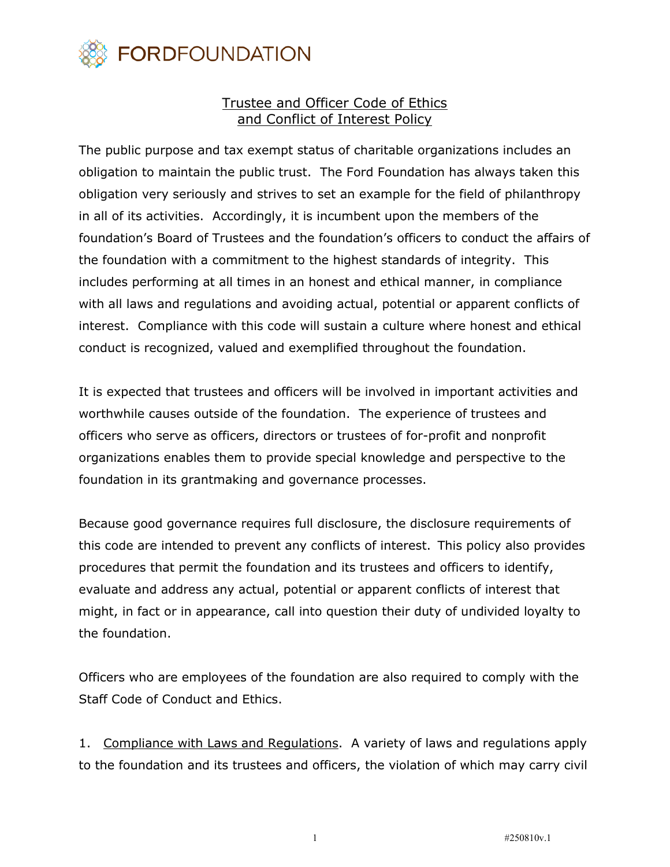

## Trustee and Officer Code of Ethics and Conflict of Interest Policy

The public purpose and tax exempt status of charitable organizations includes an obligation to maintain the public trust. The Ford Foundation has always taken this obligation very seriously and strives to set an example for the field of philanthropy in all of its activities. Accordingly, it is incumbent upon the members of the foundation's Board of Trustees and the foundation's officers to conduct the affairs of the foundation with a commitment to the highest standards of integrity. This includes performing at all times in an honest and ethical manner, in compliance with all laws and regulations and avoiding actual, potential or apparent conflicts of interest. Compliance with this code will sustain a culture where honest and ethical conduct is recognized, valued and exemplified throughout the foundation.

It is expected that trustees and officers will be involved in important activities and worthwhile causes outside of the foundation. The experience of trustees and officers who serve as officers, directors or trustees of for-profit and nonprofit organizations enables them to provide special knowledge and perspective to the foundation in its grantmaking and governance processes.

Because good governance requires full disclosure, the disclosure requirements of this code are intended to prevent any conflicts of interest. This policy also provides procedures that permit the foundation and its trustees and officers to identify, evaluate and address any actual, potential or apparent conflicts of interest that might, in fact or in appearance, call into question their duty of undivided loyalty to the foundation.

Officers who are employees of the foundation are also required to comply with the Staff Code of Conduct and Ethics.

1. Compliance with Laws and Regulations. A variety of laws and regulations apply to the foundation and its trustees and officers, the violation of which may carry civil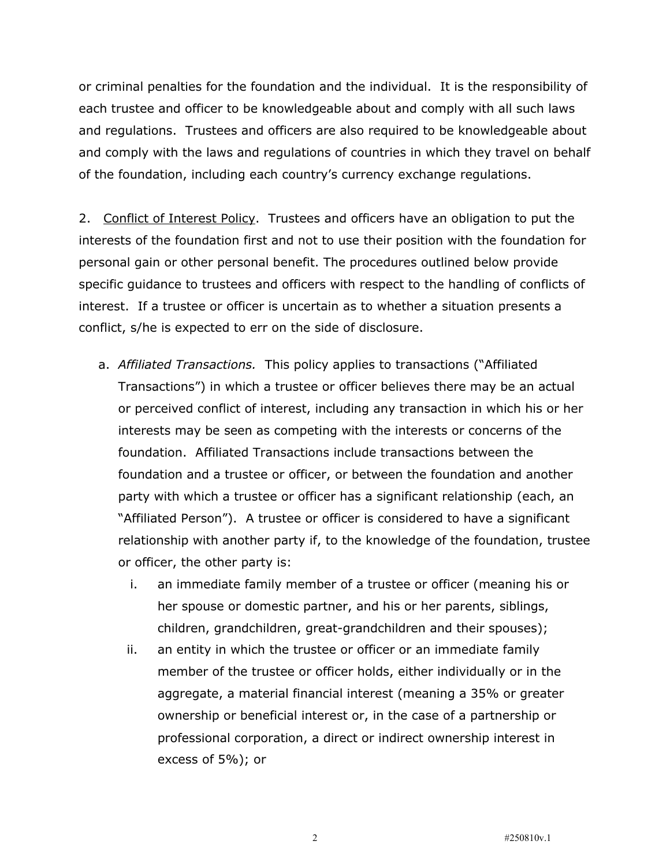or criminal penalties for the foundation and the individual. It is the responsibility of each trustee and officer to be knowledgeable about and comply with all such laws and regulations. Trustees and officers are also required to be knowledgeable about and comply with the laws and regulations of countries in which they travel on behalf of the foundation, including each country's currency exchange regulations.

2. Conflict of Interest Policy. Trustees and officers have an obligation to put the interests of the foundation first and not to use their position with the foundation for personal gain or other personal benefit. The procedures outlined below provide specific guidance to trustees and officers with respect to the handling of conflicts of interest. If a trustee or officer is uncertain as to whether a situation presents a conflict, s/he is expected to err on the side of disclosure.

- a. *Affiliated Transactions.* This policy applies to transactions ("Affiliated Transactions") in which a trustee or officer believes there may be an actual or perceived conflict of interest, including any transaction in which his or her interests may be seen as competing with the interests or concerns of the foundation. Affiliated Transactions include transactions between the foundation and a trustee or officer, or between the foundation and another party with which a trustee or officer has a significant relationship (each, an "Affiliated Person"). A trustee or officer is considered to have a significant relationship with another party if, to the knowledge of the foundation, trustee or officer, the other party is:
	- i. an immediate family member of a trustee or officer (meaning his or her spouse or domestic partner, and his or her parents, siblings, children, grandchildren, great-grandchildren and their spouses);
	- ii. an entity in which the trustee or officer or an immediate family member of the trustee or officer holds, either individually or in the aggregate, a material financial interest (meaning a 35% or greater ownership or beneficial interest or, in the case of a partnership or professional corporation, a direct or indirect ownership interest in excess of 5%); or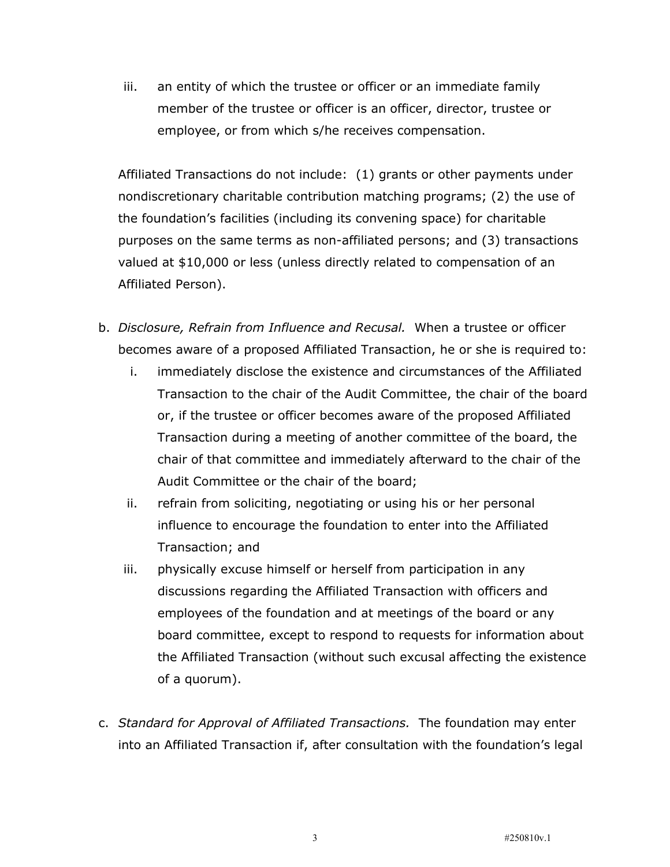iii. an entity of which the trustee or officer or an immediate family member of the trustee or officer is an officer, director, trustee or employee, or from which s/he receives compensation.

Affiliated Transactions do not include: (1) grants or other payments under nondiscretionary charitable contribution matching programs; (2) the use of the foundation's facilities (including its convening space) for charitable purposes on the same terms as non-affiliated persons; and (3) transactions valued at \$10,000 or less (unless directly related to compensation of an Affiliated Person).

- b. *Disclosure, Refrain from Influence and Recusal.* When a trustee or officer becomes aware of a proposed Affiliated Transaction, he or she is required to:
	- i. immediately disclose the existence and circumstances of the Affiliated Transaction to the chair of the Audit Committee, the chair of the board or, if the trustee or officer becomes aware of the proposed Affiliated Transaction during a meeting of another committee of the board, the chair of that committee and immediately afterward to the chair of the Audit Committee or the chair of the board;
	- ii. refrain from soliciting, negotiating or using his or her personal influence to encourage the foundation to enter into the Affiliated Transaction; and
	- iii. physically excuse himself or herself from participation in any discussions regarding the Affiliated Transaction with officers and employees of the foundation and at meetings of the board or any board committee, except to respond to requests for information about the Affiliated Transaction (without such excusal affecting the existence of a quorum).
- c. *Standard for Approval of Affiliated Transactions.* The foundation may enter into an Affiliated Transaction if, after consultation with the foundation's legal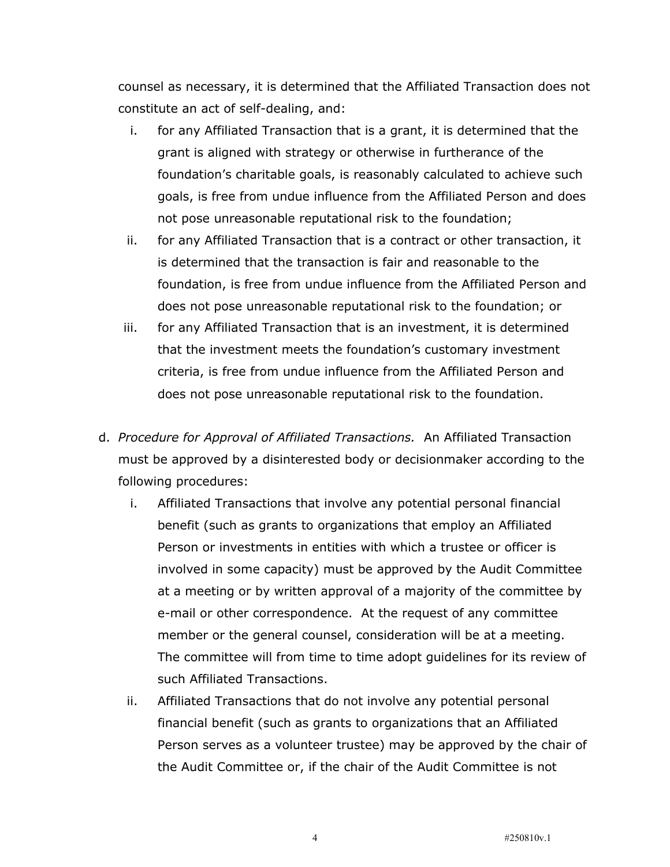counsel as necessary, it is determined that the Affiliated Transaction does not constitute an act of self-dealing, and:

- i. for any Affiliated Transaction that is a grant, it is determined that the grant is aligned with strategy or otherwise in furtherance of the foundation's charitable goals, is reasonably calculated to achieve such goals, is free from undue influence from the Affiliated Person and does not pose unreasonable reputational risk to the foundation;
- ii. for any Affiliated Transaction that is a contract or other transaction, it is determined that the transaction is fair and reasonable to the foundation, is free from undue influence from the Affiliated Person and does not pose unreasonable reputational risk to the foundation; or
- iii. for any Affiliated Transaction that is an investment, it is determined that the investment meets the foundation's customary investment criteria, is free from undue influence from the Affiliated Person and does not pose unreasonable reputational risk to the foundation.
- d. *Procedure for Approval of Affiliated Transactions.* An Affiliated Transaction must be approved by a disinterested body or decisionmaker according to the following procedures:
	- i. Affiliated Transactions that involve any potential personal financial benefit (such as grants to organizations that employ an Affiliated Person or investments in entities with which a trustee or officer is involved in some capacity) must be approved by the Audit Committee at a meeting or by written approval of a majority of the committee by e-mail or other correspondence. At the request of any committee member or the general counsel, consideration will be at a meeting. The committee will from time to time adopt guidelines for its review of such Affiliated Transactions.
	- ii. Affiliated Transactions that do not involve any potential personal financial benefit (such as grants to organizations that an Affiliated Person serves as a volunteer trustee) may be approved by the chair of the Audit Committee or, if the chair of the Audit Committee is not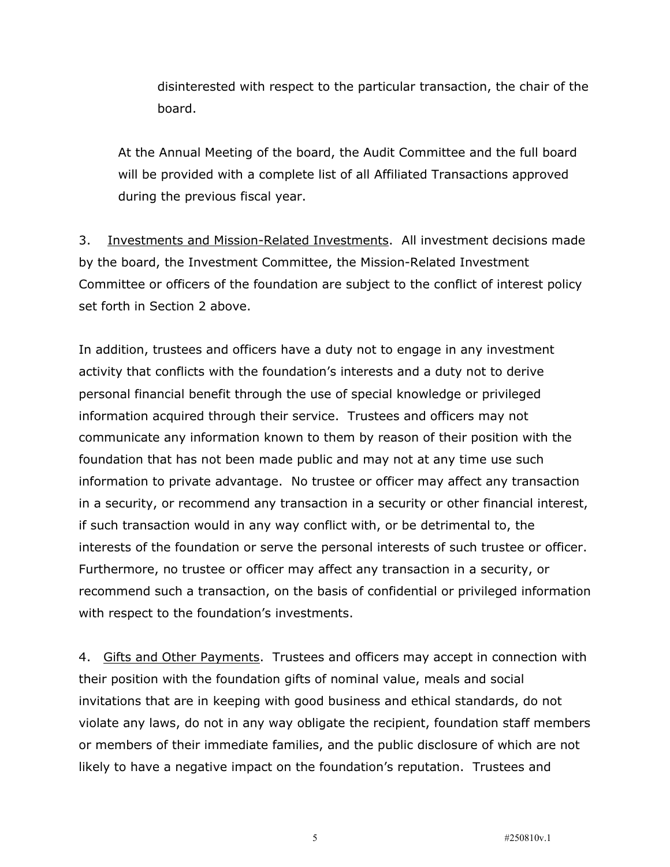disinterested with respect to the particular transaction, the chair of the board.

At the Annual Meeting of the board, the Audit Committee and the full board will be provided with a complete list of all Affiliated Transactions approved during the previous fiscal year.

3. Investments and Mission-Related Investments. All investment decisions made by the board, the Investment Committee, the Mission-Related Investment Committee or officers of the foundation are subject to the conflict of interest policy set forth in Section 2 above.

In addition, trustees and officers have a duty not to engage in any investment activity that conflicts with the foundation's interests and a duty not to derive personal financial benefit through the use of special knowledge or privileged information acquired through their service. Trustees and officers may not communicate any information known to them by reason of their position with the foundation that has not been made public and may not at any time use such information to private advantage. No trustee or officer may affect any transaction in a security, or recommend any transaction in a security or other financial interest, if such transaction would in any way conflict with, or be detrimental to, the interests of the foundation or serve the personal interests of such trustee or officer. Furthermore, no trustee or officer may affect any transaction in a security, or recommend such a transaction, on the basis of confidential or privileged information with respect to the foundation's investments.

4. Gifts and Other Payments. Trustees and officers may accept in connection with their position with the foundation gifts of nominal value, meals and social invitations that are in keeping with good business and ethical standards, do not violate any laws, do not in any way obligate the recipient, foundation staff members or members of their immediate families, and the public disclosure of which are not likely to have a negative impact on the foundation's reputation. Trustees and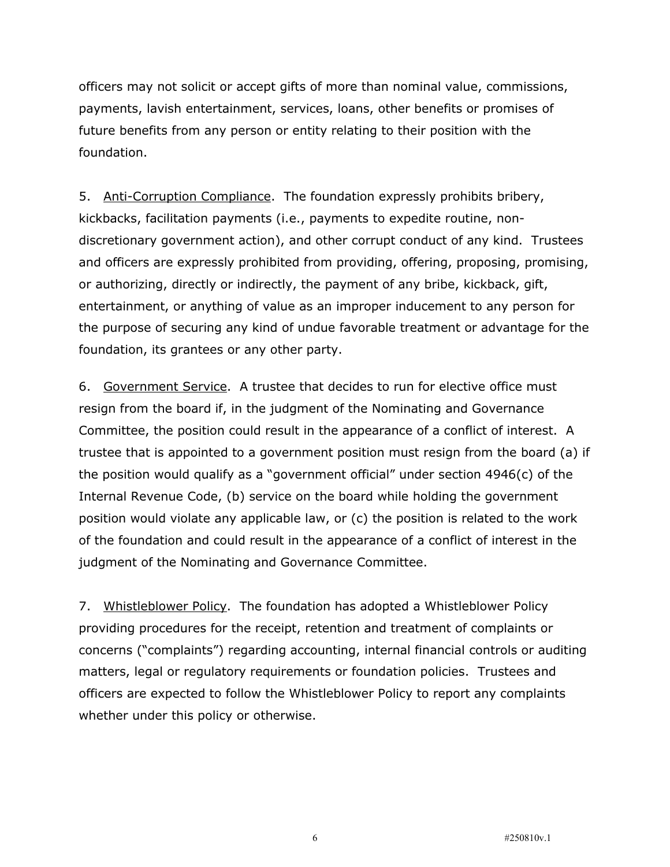officers may not solicit or accept gifts of more than nominal value, commissions, payments, lavish entertainment, services, loans, other benefits or promises of future benefits from any person or entity relating to their position with the foundation.

5. Anti-Corruption Compliance. The foundation expressly prohibits bribery, kickbacks, facilitation payments (i.e., payments to expedite routine, nondiscretionary government action), and other corrupt conduct of any kind. Trustees and officers are expressly prohibited from providing, offering, proposing, promising, or authorizing, directly or indirectly, the payment of any bribe, kickback, gift, entertainment, or anything of value as an improper inducement to any person for the purpose of securing any kind of undue favorable treatment or advantage for the foundation, its grantees or any other party.

6. Government Service. A trustee that decides to run for elective office must resign from the board if, in the judgment of the Nominating and Governance Committee, the position could result in the appearance of a conflict of interest. A trustee that is appointed to a government position must resign from the board (a) if the position would qualify as a "government official" under section 4946(c) of the Internal Revenue Code, (b) service on the board while holding the government position would violate any applicable law, or (c) the position is related to the work of the foundation and could result in the appearance of a conflict of interest in the judgment of the Nominating and Governance Committee.

7. Whistleblower Policy. The foundation has adopted a Whistleblower Policy providing procedures for the receipt, retention and treatment of complaints or concerns ("complaints") regarding accounting, internal financial controls or auditing matters, legal or regulatory requirements or foundation policies. Trustees and officers are expected to follow the Whistleblower Policy to report any complaints whether under this policy or otherwise.